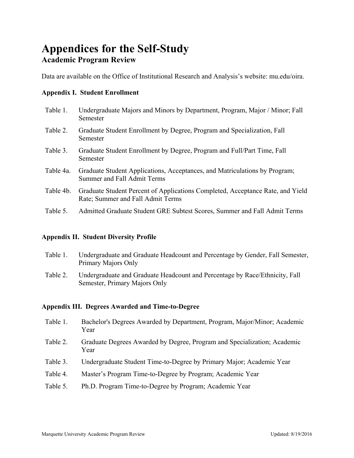# **Appendices for the Self-Study Academic Program Review**

Data are available on the Office of Institutional Research and Analysis's website: mu.edu/oira.

## **Appendix I. Student Enrollment**

- Table 1. Undergraduate Majors and Minors by Department, Program, Major / Minor; Fall Semester
- Table 2. Graduate Student Enrollment by Degree, Program and Specialization, Fall Semester
- Table 3. Graduate Student Enrollment by Degree, Program and Full/Part Time, Fall Semester
- Table 4a. Graduate Student Applications, Acceptances, and Matriculations by Program; Summer and Fall Admit Terms
- Table 4b. Graduate Student Percent of Applications Completed, Acceptance Rate, and Yield Rate; Summer and Fall Admit Terms
- Table 5. Admitted Graduate Student GRE Subtest Scores, Summer and Fall Admit Terms

## **Appendix II. Student Diversity Profile**

- Table 1. Undergraduate and Graduate Headcount and Percentage by Gender, Fall Semester, Primary Majors Only
- Table 2. Undergraduate and Graduate Headcount and Percentage by Race/Ethnicity, Fall Semester, Primary Majors Only

## **Appendix III. Degrees Awarded and Time-to-Degree**

- Table 1. Bachelor's Degrees Awarded by Department, Program, Major/Minor; Academic Year
- Table 2. Graduate Degrees Awarded by Degree, Program and Specialization; Academic Year
- Table 3. Undergraduate Student Time-to-Degree by Primary Major; Academic Year
- Table 4. Master's Program Time-to-Degree by Program; Academic Year
- Table 5. Ph.D. Program Time-to-Degree by Program; Academic Year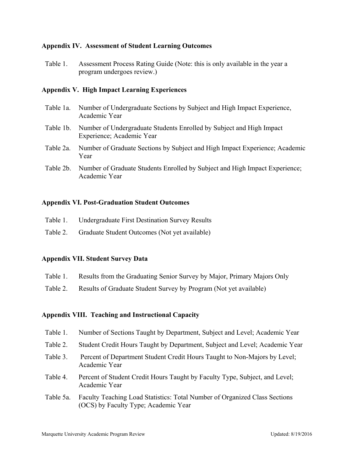### **Appendix IV. Assessment of Student Learning Outcomes**

Table 1. Assessment Process Rating Guide (Note: this is only available in the year a program undergoes review.)

#### **Appendix V. High Impact Learning Experiences**

- Table 1a. Number of Undergraduate Sections by Subject and High Impact Experience, Academic Year
- Table 1b. Number of Undergraduate Students Enrolled by Subject and High Impact Experience; Academic Year
- Table 2a. Number of Graduate Sections by Subject and High Impact Experience; Academic Year
- Table 2b. Number of Graduate Students Enrolled by Subject and High Impact Experience; Academic Year

#### **Appendix VI. Post-Graduation Student Outcomes**

- Table 1. Undergraduate First Destination Survey Results
- Table 2. Graduate Student Outcomes (Not yet available)

#### **Appendix VII. Student Survey Data**

- Table 1. Results from the Graduating Senior Survey by Major, Primary Majors Only
- Table 2. Results of Graduate Student Survey by Program (Not yet available)

#### **Appendix VIII. Teaching and Instructional Capacity**

- Table 1. Number of Sections Taught by Department, Subject and Level; Academic Year
- Table 2. Student Credit Hours Taught by Department, Subject and Level; Academic Year
- Table 3. Percent of Department Student Credit Hours Taught to Non-Majors by Level; Academic Year
- Table 4. Percent of Student Credit Hours Taught by Faculty Type, Subject, and Level; Academic Year
- Table 5a. Faculty Teaching Load Statistics: Total Number of Organized Class Sections (OCS) by Faculty Type; Academic Year